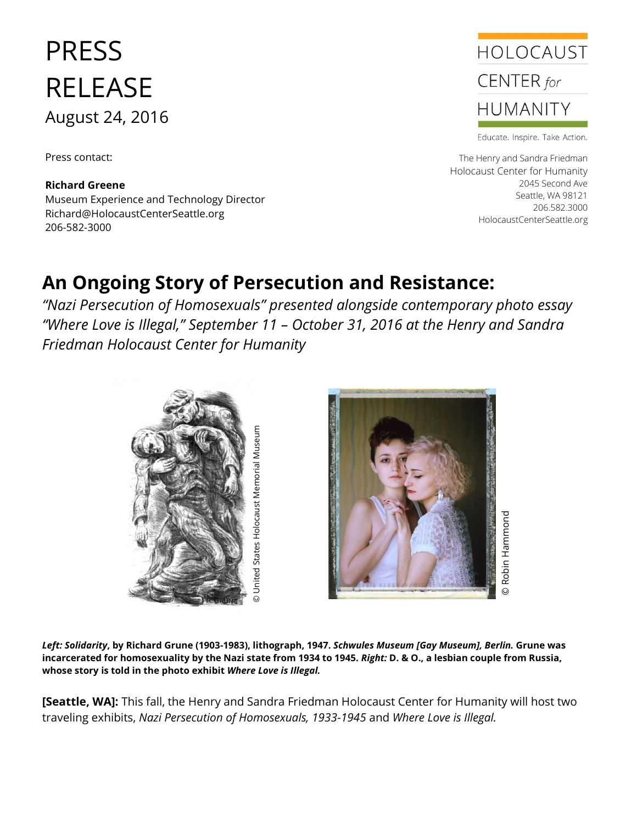## PRESS RELEASE August 24, 2016

Press contact:

**Richard Greene** Museum Experience and Technology Director Richard@HolocaustCenterSeattle.org 206-582-3000



Educate. Inspire. Take Action.

The Henry and Sandra Friedman Holocaust Center for Humanity 2045 Second Ave Seattle, WA 98121 206.582.3000 HolocaustCenterSeattle.org

## **An Ongoing Story of Persecution and Resistance:**

*"Nazi Persecution of Homosexuals" presented alongside contemporary photo essay "Where Love is Illegal," September 11 – October 31, 2016 at the Henry and Sandra Friedman Holocaust Center for Humanity*





*Left: Solidarity***, by Richard Grune (1903-1983), lithograph, 1947.** *Schwules Museum [Gay Museum], Berlin.* **Grune was incarcerated for homosexuality by the Nazi state from 1934 to 1945.** *Right:* **D. & O., a lesbian couple from Russia, whose story is told in the photo exhibit** *Where Love is Illegal.*

**[Seattle, WA]:** This fall, the Henry and Sandra Friedman Holocaust Center for Humanity will host two traveling exhibits, *Nazi Persecution of Homosexuals, 1933-1945* and *Where Love is Illegal.*